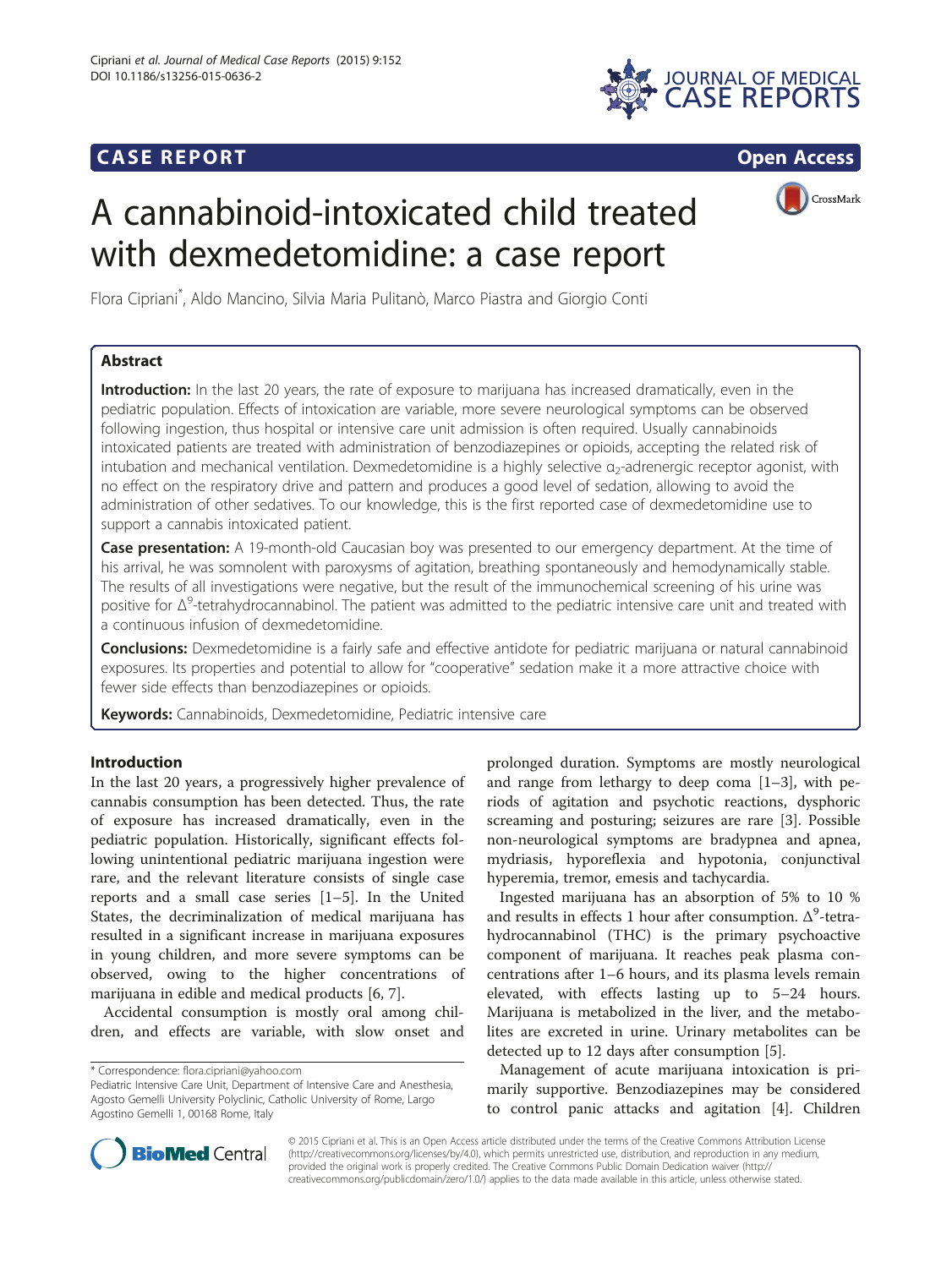## **CASE REPORT CASE REPORT**



# A cannabinoid-intoxicated child treated with dexmedetomidine: a case report

CrossMark

Flora Cipriani\* , Aldo Mancino, Silvia Maria Pulitanò, Marco Piastra and Giorgio Conti

## Abstract

Introduction: In the last 20 years, the rate of exposure to marijuana has increased dramatically, even in the pediatric population. Effects of intoxication are variable, more severe neurological symptoms can be observed following ingestion, thus hospital or intensive care unit admission is often required. Usually cannabinoids intoxicated patients are treated with administration of benzodiazepines or opioids, accepting the related risk of intubation and mechanical ventilation. Dexmedetomidine is a highly selective α<sub>2</sub>-adrenergic receptor agonist, with no effect on the respiratory drive and pattern and produces a good level of sedation, allowing to avoid the administration of other sedatives. To our knowledge, this is the first reported case of dexmedetomidine use to support a cannabis intoxicated patient.

Case presentation: A 19-month-old Caucasian boy was presented to our emergency department. At the time of his arrival, he was somnolent with paroxysms of agitation, breathing spontaneously and hemodynamically stable. The results of all investigations were negative, but the result of the immunochemical screening of his urine was positive for  $\Delta^9$ -tetrahydrocannabinol. The patient was admitted to the pediatric intensive care unit and treated with a continuous infusion of dexmedetomidine.

Conclusions: Dexmedetomidine is a fairly safe and effective antidote for pediatric marijuana or natural cannabinoid exposures. Its properties and potential to allow for "cooperative" sedation make it a more attractive choice with fewer side effects than benzodiazepines or opioids.

Keywords: Cannabinoids, Dexmedetomidine, Pediatric intensive care

## Introduction

In the last 20 years, a progressively higher prevalence of cannabis consumption has been detected. Thus, the rate of exposure has increased dramatically, even in the pediatric population. Historically, significant effects following unintentional pediatric marijuana ingestion were rare, and the relevant literature consists of single case reports and a small case series [\[1](#page-3-0)–[5\]](#page-3-0). In the United States, the decriminalization of medical marijuana has resulted in a significant increase in marijuana exposures in young children, and more severe symptoms can be observed, owing to the higher concentrations of marijuana in edible and medical products [\[6](#page-3-0), [7](#page-3-0)].

Accidental consumption is mostly oral among children, and effects are variable, with slow onset and

prolonged duration. Symptoms are mostly neurological and range from lethargy to deep coma [[1](#page-3-0)–[3\]](#page-3-0), with periods of agitation and psychotic reactions, dysphoric screaming and posturing; seizures are rare [\[3](#page-3-0)]. Possible non-neurological symptoms are bradypnea and apnea, mydriasis, hyporeflexia and hypotonia, conjunctival hyperemia, tremor, emesis and tachycardia.

Ingested marijuana has an absorption of 5% to 10 % and results in effects 1 hour after consumption.  $\Delta^9$ -tetrahydrocannabinol (THC) is the primary psychoactive component of marijuana. It reaches peak plasma concentrations after 1–6 hours, and its plasma levels remain elevated, with effects lasting up to 5–24 hours. Marijuana is metabolized in the liver, and the metabolites are excreted in urine. Urinary metabolites can be detected up to 12 days after consumption [[5](#page-3-0)].

Management of acute marijuana intoxication is primarily supportive. Benzodiazepines may be considered to control panic attacks and agitation [[4\]](#page-3-0). Children



© 2015 Cipriani et al. This is an Open Access article distributed under the terms of the Creative Commons Attribution License [\(http://creativecommons.org/licenses/by/4.0\)](http://creativecommons.org/licenses/by/4.0), which permits unrestricted use, distribution, and reproduction in any medium, provided the original work is properly credited. The Creative Commons Public Domain Dedication waiver [\(http://](http://creativecommons.org/publicdomain/zero/1.0/) [creativecommons.org/publicdomain/zero/1.0/\)](http://creativecommons.org/publicdomain/zero/1.0/) applies to the data made available in this article, unless otherwise stated.

<sup>\*</sup> Correspondence: [flora.cipriani@yahoo.com](mailto:flora.cipriani@yahoo.com)

Pediatric Intensive Care Unit, Department of Intensive Care and Anesthesia, Agosto Gemelli University Polyclinic, Catholic University of Rome, Largo Agostino Gemelli 1, 00168 Rome, Italy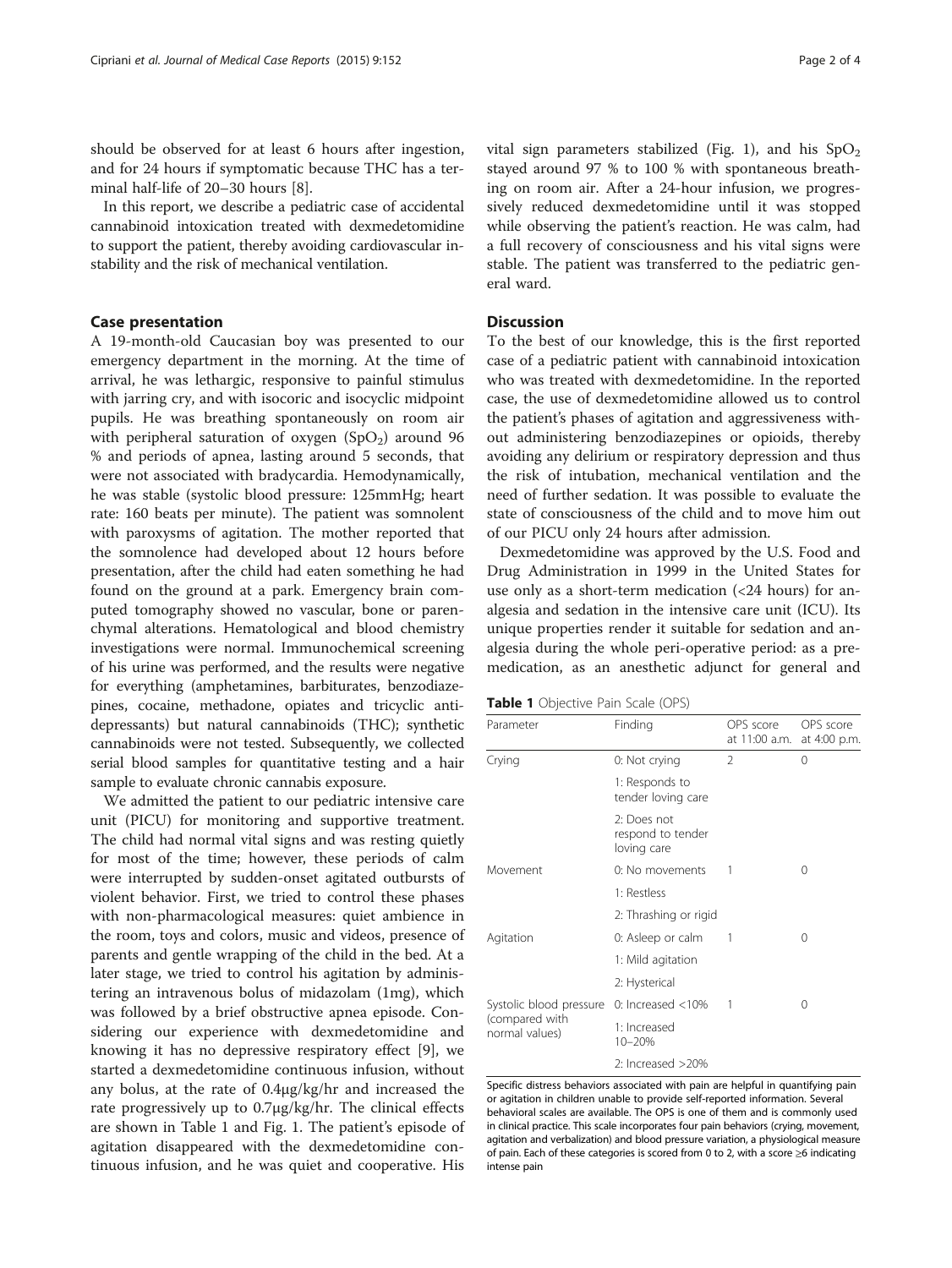should be observed for at least 6 hours after ingestion, and for 24 hours if symptomatic because THC has a terminal half-life of 20–30 hours [\[8](#page-3-0)].

In this report, we describe a pediatric case of accidental cannabinoid intoxication treated with dexmedetomidine to support the patient, thereby avoiding cardiovascular instability and the risk of mechanical ventilation.

## Case presentation

A 19-month-old Caucasian boy was presented to our emergency department in the morning. At the time of arrival, he was lethargic, responsive to painful stimulus with jarring cry, and with isocoric and isocyclic midpoint pupils. He was breathing spontaneously on room air with peripheral saturation of oxygen  $(SpO<sub>2</sub>)$  around 96 % and periods of apnea, lasting around 5 seconds, that were not associated with bradycardia. Hemodynamically, he was stable (systolic blood pressure: 125mmHg; heart rate: 160 beats per minute). The patient was somnolent with paroxysms of agitation. The mother reported that the somnolence had developed about 12 hours before presentation, after the child had eaten something he had found on the ground at a park. Emergency brain computed tomography showed no vascular, bone or parenchymal alterations. Hematological and blood chemistry investigations were normal. Immunochemical screening of his urine was performed, and the results were negative for everything (amphetamines, barbiturates, benzodiazepines, cocaine, methadone, opiates and tricyclic antidepressants) but natural cannabinoids (THC); synthetic cannabinoids were not tested. Subsequently, we collected serial blood samples for quantitative testing and a hair sample to evaluate chronic cannabis exposure.

We admitted the patient to our pediatric intensive care unit (PICU) for monitoring and supportive treatment. The child had normal vital signs and was resting quietly for most of the time; however, these periods of calm were interrupted by sudden-onset agitated outbursts of violent behavior. First, we tried to control these phases with non-pharmacological measures: quiet ambience in the room, toys and colors, music and videos, presence of parents and gentle wrapping of the child in the bed. At a later stage, we tried to control his agitation by administering an intravenous bolus of midazolam (1mg), which was followed by a brief obstructive apnea episode. Considering our experience with dexmedetomidine and knowing it has no depressive respiratory effect [[9](#page-3-0)], we started a dexmedetomidine continuous infusion, without any bolus, at the rate of 0.4μg/kg/hr and increased the rate progressively up to 0.7μg/kg/hr. The clinical effects are shown in Table 1 and Fig. [1](#page-2-0). The patient's episode of agitation disappeared with the dexmedetomidine continuous infusion, and he was quiet and cooperative. His vital sign parameters stabilized (Fig. [1\)](#page-2-0), and his  $SpO<sub>2</sub>$ stayed around 97 % to 100 % with spontaneous breathing on room air. After a 24-hour infusion, we progressively reduced dexmedetomidine until it was stopped while observing the patient's reaction. He was calm, had a full recovery of consciousness and his vital signs were stable. The patient was transferred to the pediatric general ward.

## **Discussion**

To the best of our knowledge, this is the first reported case of a pediatric patient with cannabinoid intoxication who was treated with dexmedetomidine. In the reported case, the use of dexmedetomidine allowed us to control the patient's phases of agitation and aggressiveness without administering benzodiazepines or opioids, thereby avoiding any delirium or respiratory depression and thus the risk of intubation, mechanical ventilation and the need of further sedation. It was possible to evaluate the state of consciousness of the child and to move him out of our PICU only 24 hours after admission.

Dexmedetomidine was approved by the U.S. Food and Drug Administration in 1999 in the United States for use only as a short-term medication  $\left( < 24 \right)$  hours) for analgesia and sedation in the intensive care unit (ICU). Its unique properties render it suitable for sedation and analgesia during the whole peri-operative period: as a premedication, as an anesthetic adjunct for general and

|  | Table 1 Objective Pain Scale (OPS) |  |  |  |
|--|------------------------------------|--|--|--|
|--|------------------------------------|--|--|--|

| Parameter                        | Finding                                         | OPS score<br>at 11:00 a.m. | OPS score<br>at 4:00 p.m. |
|----------------------------------|-------------------------------------------------|----------------------------|---------------------------|
| Crying                           | 0: Not crying                                   | $\mathfrak{D}$             | 0                         |
|                                  | 1: Responds to<br>tender loving care            |                            |                           |
|                                  | 2: Does not<br>respond to tender<br>loving care |                            |                           |
| Movement                         | 0: No movements                                 |                            | 0                         |
|                                  | 1: Restless                                     |                            |                           |
|                                  | 2: Thrashing or rigid                           |                            |                           |
| Agitation                        | 0: Asleep or calm                               | 1                          | 0                         |
|                                  | 1: Mild agitation                               |                            |                           |
|                                  | 2: Hysterical                                   |                            |                           |
| Systolic blood pressure          | $0:$ Increased $<$ 10%                          |                            | 0                         |
| (compared with<br>normal values) | 1: Increased<br>10-20%                          |                            |                           |
|                                  | 2: Increased >20%                               |                            |                           |

Specific distress behaviors associated with pain are helpful in quantifying pain or agitation in children unable to provide self-reported information. Several behavioral scales are available. The OPS is one of them and is commonly used in clinical practice. This scale incorporates four pain behaviors (crying, movement, agitation and verbalization) and blood pressure variation, a physiological measure of pain. Each of these categories is scored from 0 to 2, with a score ≥6 indicating intense pain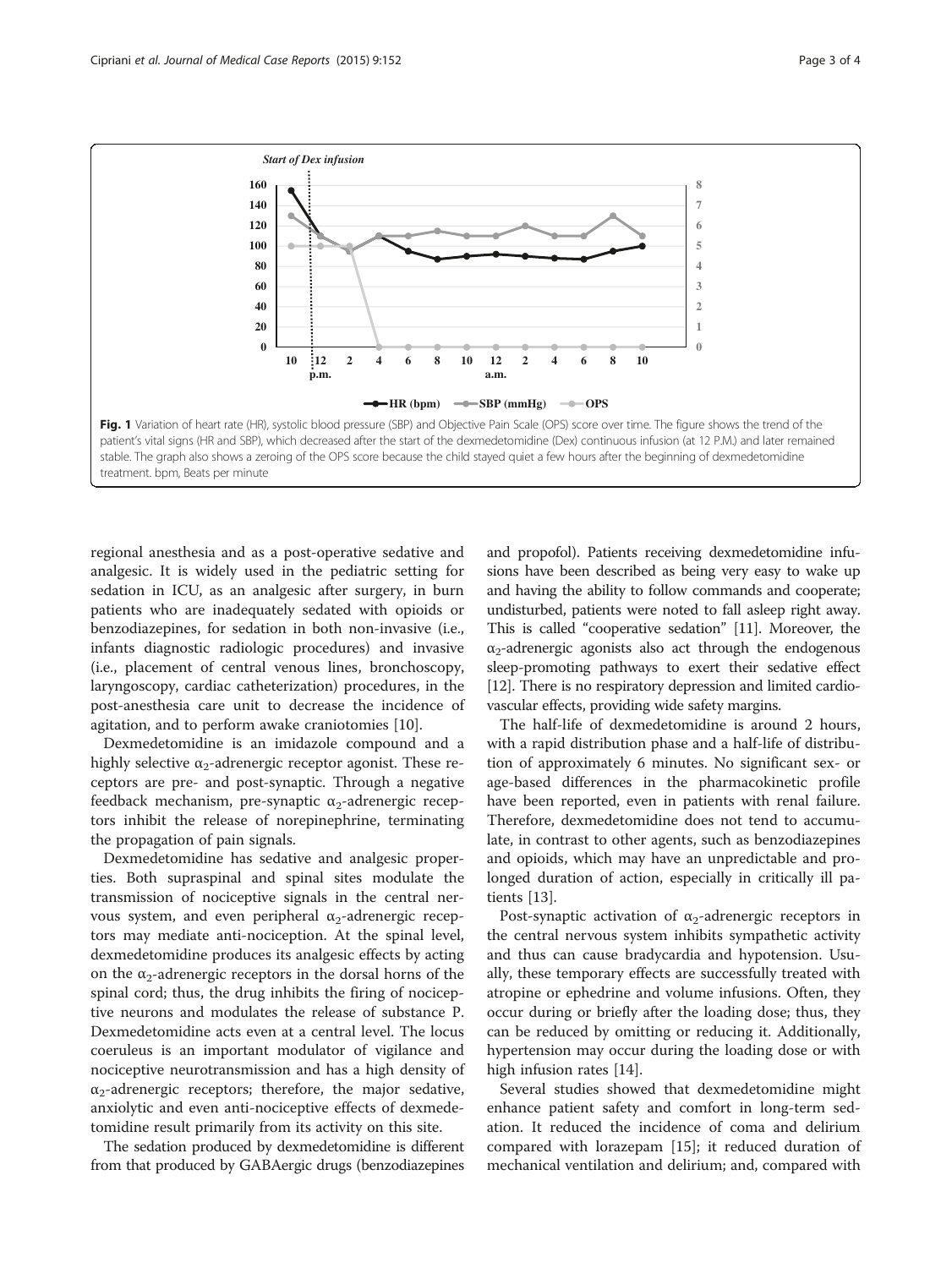<span id="page-2-0"></span>

regional anesthesia and as a post-operative sedative and analgesic. It is widely used in the pediatric setting for sedation in ICU, as an analgesic after surgery, in burn patients who are inadequately sedated with opioids or benzodiazepines, for sedation in both non-invasive (i.e., infants diagnostic radiologic procedures) and invasive (i.e., placement of central venous lines, bronchoscopy, laryngoscopy, cardiac catheterization) procedures, in the post-anesthesia care unit to decrease the incidence of agitation, and to perform awake craniotomies [\[10](#page-3-0)].

Dexmedetomidine is an imidazole compound and a highly selective  $\alpha_2$ -adrenergic receptor agonist. These receptors are pre- and post-synaptic. Through a negative feedback mechanism, pre-synaptic  $\alpha_2$ -adrenergic receptors inhibit the release of norepinephrine, terminating the propagation of pain signals.

Dexmedetomidine has sedative and analgesic properties. Both supraspinal and spinal sites modulate the transmission of nociceptive signals in the central nervous system, and even peripheral  $α_2$ -adrenergic receptors may mediate anti-nociception. At the spinal level, dexmedetomidine produces its analgesic effects by acting on the  $\alpha_2$ -adrenergic receptors in the dorsal horns of the spinal cord; thus, the drug inhibits the firing of nociceptive neurons and modulates the release of substance P. Dexmedetomidine acts even at a central level. The locus coeruleus is an important modulator of vigilance and nociceptive neurotransmission and has a high density of  $\alpha_2$ -adrenergic receptors; therefore, the major sedative, anxiolytic and even anti-nociceptive effects of dexmedetomidine result primarily from its activity on this site.

The sedation produced by dexmedetomidine is different from that produced by GABAergic drugs (benzodiazepines and propofol). Patients receiving dexmedetomidine infusions have been described as being very easy to wake up and having the ability to follow commands and cooperate; undisturbed, patients were noted to fall asleep right away. This is called "cooperative sedation" [\[11\]](#page-3-0). Moreover, the  $\alpha_2$ -adrenergic agonists also act through the endogenous sleep-promoting pathways to exert their sedative effect [[12](#page-3-0)]. There is no respiratory depression and limited cardiovascular effects, providing wide safety margins.

The half-life of dexmedetomidine is around 2 hours, with a rapid distribution phase and a half-life of distribution of approximately 6 minutes. No significant sex- or age-based differences in the pharmacokinetic profile have been reported, even in patients with renal failure. Therefore, dexmedetomidine does not tend to accumulate, in contrast to other agents, such as benzodiazepines and opioids, which may have an unpredictable and prolonged duration of action, especially in critically ill patients [\[13](#page-3-0)].

Post-synaptic activation of  $\alpha_2$ -adrenergic receptors in the central nervous system inhibits sympathetic activity and thus can cause bradycardia and hypotension. Usually, these temporary effects are successfully treated with atropine or ephedrine and volume infusions. Often, they occur during or briefly after the loading dose; thus, they can be reduced by omitting or reducing it. Additionally, hypertension may occur during the loading dose or with high infusion rates [\[14\]](#page-3-0).

Several studies showed that dexmedetomidine might enhance patient safety and comfort in long-term sedation. It reduced the incidence of coma and delirium compared with lorazepam [\[15\]](#page-3-0); it reduced duration of mechanical ventilation and delirium; and, compared with